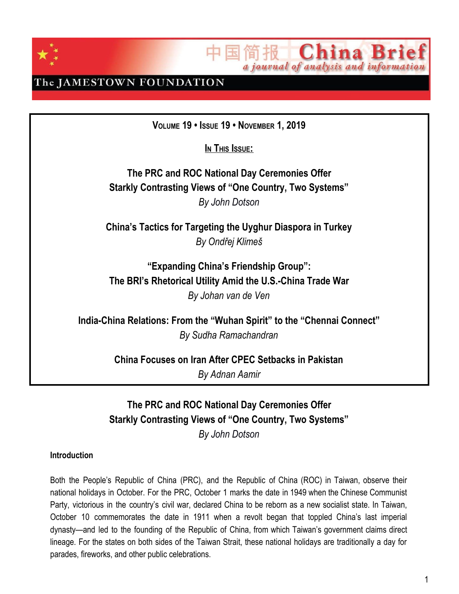



### The JAMESTOWN FOUNDATION

**VOLUME 19 • ISSUE 19 • NOVEMBER 1, 2019**

 $I$ **N** This **I**ssue:

**The PRC and ROC National Day Ceremonies Offer Starkly Contrasting Views of "One Country, Two Systems"** *By John Dotson*

**China's Tactics for Targeting the Uyghur Diaspora in Turkey** *By Ondřej Klimeš*

**"Expanding China's Friendship Group": The BRI's Rhetorical Utility Amid the U.S.-China Trade War** *By Johan van de Ven*

**India-China Relations: From the "Wuhan Spirit" to the "Chennai Connect"** *By Sudha Ramachandran*

**China Focuses on Iran After CPEC Setbacks in Pakistan**

*By Adnan Aamir*

### **The PRC and ROC National Day Ceremonies Offer Starkly Contrasting Views of "One Country, Two Systems"** *By John Dotson*

#### **Introduction**

Both the People's Republic of China (PRC), and the Republic of China (ROC) in Taiwan, observe their national holidays in October. For the PRC, October 1 marks the date in 1949 when the Chinese Communist Party, victorious in the country's civil war, declared China to be reborn as a new socialist state. In Taiwan, October 10 commemorates the date in 1911 when a revolt began that toppled China's last imperial dynasty—and led to the founding of the Republic of China, from which Taiwan's government claims direct lineage. For the states on both sides of the Taiwan Strait, these national holidays are traditionally a day for parades, fireworks, and other public celebrations.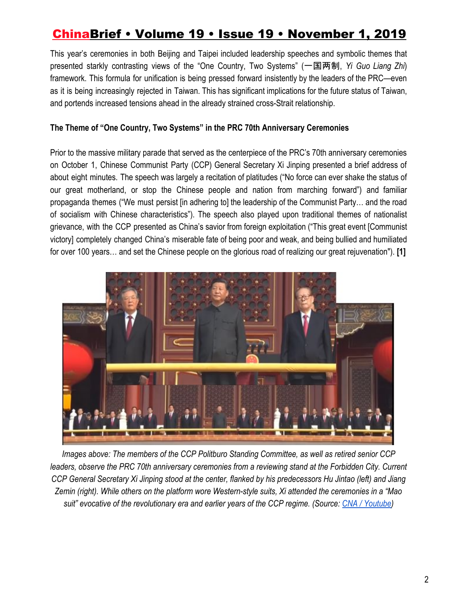This year's ceremonies in both Beijing and Taipei included leadership speeches and symbolic themes that presented starkly contrasting views of the "One Country, Two Systems" (一国两制, *Yi Guo Liang Zhi*) framework. This formula for unification is being pressed forward insistently by the leaders of the PRC—even as it is being increasingly rejected in Taiwan. This has significant implications for the future status of Taiwan, and portends increased tensions ahead in the already strained cross-Strait relationship.

### **The Theme of "One Country, Two Systems" in the PRC 70th Anniversary Ceremonies**

Prior to the massive military parade that served as the centerpiece of the PRC's 70th anniversary ceremonies on October 1, Chinese Communist Party (CCP) General Secretary Xi Jinping presented a brief address of about eight minutes. The speech was largely a recitation of platitudes ("No force can ever shake the status of our great motherland, or stop the Chinese people and nation from marching forward") and familiar propaganda themes ("We must persist [in adhering to] the leadership of the Communist Party… and the road of socialism with Chinese characteristics"). The speech also played upon traditional themes of nationalist grievance, with the CCP presented as China's savior from foreign exploitation ("This great event [Communist victory] completely changed China's miserable fate of being poor and weak, and being bullied and humiliated for over 100 years… and set the Chinese people on the glorious road of realizing our great rejuvenation"). **[1]**



*Images above: The members of the CCP Politburo Standing Committee, as well as retired senior CCP leaders, observe the PRC 70th anniversary ceremonies from a reviewing stand at the Forbidden City. Current CCP General Secretary Xi Jinping stood at the center, flanked by his predecessors Hu Jintao (left) and Jiang Zemin (right). While others on the platform wore Western-style suits, Xi attended the ceremonies in a "Mao suit" evocative of the revolutionary era and earlier years of the CCP regime. (Source: [CNA / Youtube](https://www.youtube.com/watch?v=Lmp51YN-7wc))*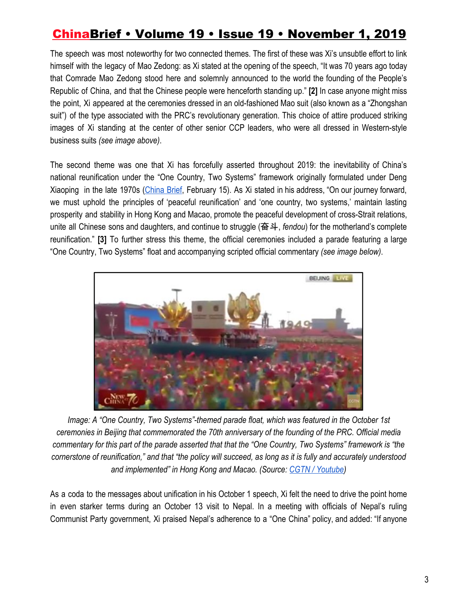The speech was most noteworthy for two connected themes. The first of these was Xi's unsubtle effort to link himself with the legacy of Mao Zedong: as Xi stated at the opening of the speech, "It was 70 years ago today that Comrade Mao Zedong stood here and solemnly announced to the world the founding of the People's Republic of China, and that the Chinese people were henceforth standing up." **[2]** In case anyone might miss the point, Xi appeared at the ceremonies dressed in an old-fashioned Mao suit (also known as a "Zhongshan suit") of the type associated with the PRC's revolutionary generation. This choice of attire produced striking images of Xi standing at the center of other senior CCP leaders, who were all dressed in Western-style business suits *(see image above)*.

The second theme was one that Xi has forcefully asserted throughout 2019: the inevitability of China's national reunification under the "One Country, Two Systems" framework originally formulated under Deng Xiaoping in the late 1970s ([China](https://jamestown.org/program/beijing-sends-a-menacing-message-in-its-lunar-new-year-greeting-to-taiwan/) Brief, February 15). As Xi stated in his address, "On our journey forward, we must uphold the principles of 'peaceful reunification' and 'one country, two systems,' maintain lasting prosperity and stability in Hong Kong and Macao, promote the peaceful development of cross-Strait relations, unite all Chinese sons and daughters, and continue to struggle (奋斗, *fendou*) for the motherland's complete reunification." **[3]** To further stress this theme, the official ceremonies included a parade featuring a large "One Country, Two Systems" float and accompanying scripted official commentary *(see image below)*.



*Image: A "One Country, Two Systems"-themed parade float, which was featured in the October 1st ceremonies in Beijing that commemorated the 70th anniversary of the founding of the PRC. Official media commentary for this part of the parade asserted that that the "One Country, Two Systems" framework is "the cornerstone of reunification," and that "the policy will succeed, as long as it is fully and accurately understood and implemented" in Hong Kong and Macao. (Source[:](https://www.youtube.com/watch?v=8RvDmqRfVsg) [CGTN / Youtube\)](https://www.youtube.com/watch?v=8RvDmqRfVsg)*

As a coda to the messages about unification in his October 1 speech, Xi felt the need to drive the point home in even starker terms during an October 13 visit to Nepal. In a meeting with officials of Nepal's ruling Communist Party government, Xi praised Nepal's adherence to a "One China" policy, and added: "If anyone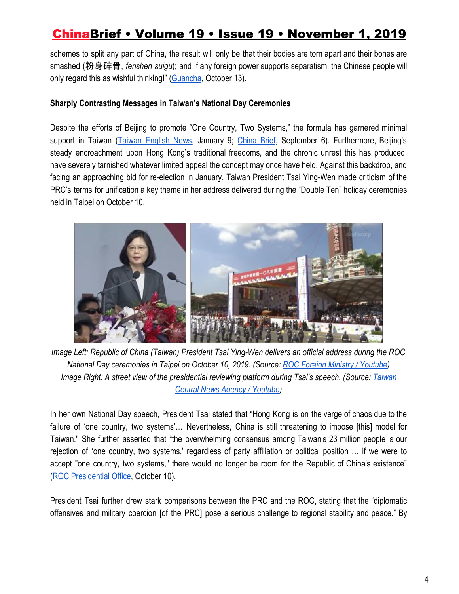schemes to split any part of China, the result will only be that their bodies are torn apart and their bones are smashed (粉身碎骨, *fenshen suigu*); and if any foreign power supports separatism, the Chinese people will only regard this as wishful thinking!" ([Guancha](http://www.guancha.cn/internation/2019_10_13_521133.shtml), October 13).

### **Sharply Contrasting Messages in Taiwan's National Day Ceremonies**

Despite the efforts of Beijing to promote "One Country, Two Systems," the formula has garnered minimal support in Taiwan (Taiwan [English](http://taiwanenglishnews.com/more-than-80-reject-one-country-two-systems-according-to-poll/) News, January 9; [China](https://jamestown.org/program/taiwan-public-opinion-polling-regarding-forced-unification-with-china/) Brief, September 6). Furthermore, Beijing's steady encroachment upon Hong Kong's traditional freedoms, and the chronic unrest this has produced, have severely tarnished whatever limited appeal the concept may once have held. Against this backdrop, and facing an approaching bid for re-election in January, Taiwan President Tsai Ying-Wen made criticism of the PRC's terms for unification a key theme in her address delivered during the "Double Ten" holiday ceremonies held in Taipei on October 10.



*Image Left: Republic of China (Taiwan) President Tsai Ying-Wen delivers an official address during the ROC National Day ceremonies in Taipei on October 10, 2019. (Source[:](https://www.youtube.com/watch?v=bvw3b7pO9bs) [ROC Foreign Ministry / Youtube\)](https://www.youtube.com/watch?v=bvw3b7pO9bs) Image Right: A street view of the presidential reviewing platform during Tsai's speech. (Source: [Taiwan](https://www.youtube.com/watch?v=3tgpcr4FjW4) [Central News Agency / Youtube\)](https://www.youtube.com/watch?v=3tgpcr4FjW4)*

In her own National Day speech, President Tsai stated that "Hong Kong is on the verge of chaos due to the failure of 'one country, two systems'… Nevertheless, China is still threatening to impose [this] model for Taiwan." She further asserted that "the overwhelming consensus among Taiwan's 23 million people is our rejection of 'one country, two systems,' regardless of party affiliation or political position … if we were to accept "one country, two systems," there would no longer be room for the Republic of China's existence" [\(ROC Presidential Office,](https://english.president.gov.tw/NEWS/5869) October 10).

President Tsai further drew stark comparisons between the PRC and the ROC, stating that the "diplomatic offensives and military coercion [of the PRC] pose a serious challenge to regional stability and peace." By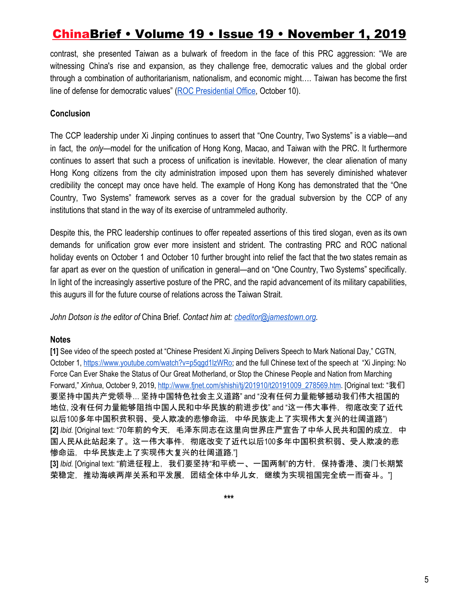contrast, she presented Taiwan as a bulwark of freedom in the face of this PRC aggression: "We are witnessing China's rise and expansion, as they challenge free, democratic values and the global order through a combination of authoritarianism, nationalism, and economic might…. Taiwan has become the first line of defense for democratic values" [\(ROC Presidential Office](https://english.president.gov.tw/NEWS/5869), October 10).

### **Conclusion**

The CCP leadership under Xi Jinping continues to assert that "One Country, Two Systems" is a viable—and in fact, the *only*—model for the unification of Hong Kong, Macao, and Taiwan with the PRC. It furthermore continues to assert that such a process of unification is inevitable. However, the clear alienation of many Hong Kong citizens from the city administration imposed upon them has severely diminished whatever credibility the concept may once have held. The example of Hong Kong has demonstrated that the "One Country, Two Systems" framework serves as a cover for the gradual subversion by the CCP of any institutions that stand in the way of its exercise of untrammeled authority.

Despite this, the PRC leadership continues to offer repeated assertions of this tired slogan, even as its own demands for unification grow ever more insistent and strident. The contrasting PRC and ROC national holiday events on October 1 and October 10 further brought into relief the fact that the two states remain as far apart as ever on the question of unification in general—and on "One Country, Two Systems" specifically. In light of the increasingly assertive posture of the PRC, and the rapid advancement of its military capabilities, this augurs ill for the future course of relations across the Taiwan Strait.

*John Dotson is the editor of* China Brief*. Contact him at: [cbeditor@jamestown.org.](mailto:cbeditor@jamestown.org)*

#### **Notes**

**[1]** See video of the speech posted at "Chinese President Xi Jinping Delivers Speech to Mark National Day," CGTN, October 1, https://www.youtube.com/watch?v=p5qqd1lzWRo; and the full Chinese text of the speech at "Xi Jinping: No Force Can Ever Shake the Status of Our Great Motherland, or Stop the Chinese People and Nation from Marching Forward," *Xinhua*, October 9, 2019[,](http://www.fjnet.com/shishi/tj/201910/t20191009_278569.htm) [http://www.fjnet.com/shishi/tj/201910/t20191009\\_278569.htm](http://www.fjnet.com/shishi/tj/201910/t20191009_278569.htm). [Original text: "我们 要坚持中国共产党领导… 坚持中国特色社会主义道路" and "没有任何力量能够撼动我们伟大祖国的 地位, 没有任何力量能够阻挡中国人民和中华民族的前进步伐" and "这一伟大事件,彻底改变了近代 以后100多年中国积贫积弱、受人欺凌的悲惨命运,中华民族走上了实现伟大复兴的壮阔道路") **[2]** *Ibid.* [Original text: "70年前的今天,毛泽东同志在这里向世界庄严宣告了中华人民共和国的成立,中 国人民从此站起来了。这一伟大事件,彻底改变了近代以后100多年中国积贫积弱、受人欺凌的悲 惨命运,中华民族走上了实现伟大复兴的壮阔道路."| [3] *Ibid.* [Original text: "前进征程上, 我们要坚持"和平统一、一国两制"的方针, 保持香港、澳门长期繁 荣稳定,推动海峡两岸关系和平发展,团结全体中华儿女,继续为实现祖国完全统一而奋斗。"|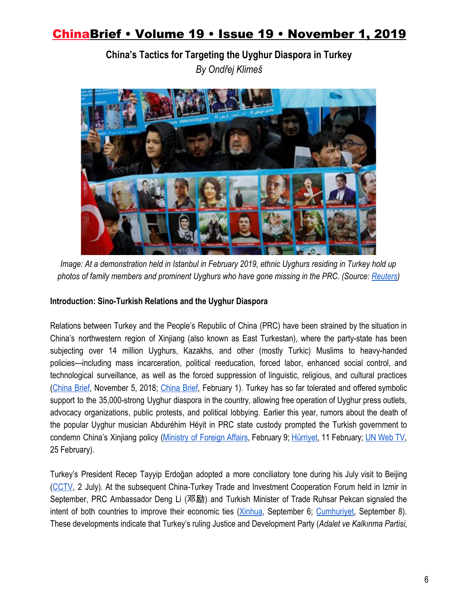**China's Tactics for Targeting the Uyghur Diaspora in Turkey** *By Ondřej Klimeš*



*Image: At a demonstration held in Istanbul in February 2019, ethnic Uyghurs residing in Turkey hold up photos of family members and prominent Uyghurs who have gone missing in the PRC. (Source: [Reuters](https://www.trtworld.com/turkey/protect-rights-of-east-turkistan-uighurs-turkey-tells-china-24487))*

#### **Introduction: Sino-Turkish Relations and the Uyghur Diaspora**

Relations between Turkey and the People's Republic of China (PRC) have been strained by the situation in China's northwestern region of Xinjiang (also known as East Turkestan), where the party-state has been subjecting over 14 million Uyghurs, Kazakhs, and other (mostly Turkic) Muslims to heavy-handed policies—including mass incarceration, political reeducation, forced labor, enhanced social control, and technological surveillance, as well as the forced suppression of linguistic, religious, and cultural practices [\(China](https://jamestown.org/program/xinjiangs-re-education-and-securitization-campaign-evidence-from-domestic-security-budgets/) Brief, November 5, 2018[;](https://jamestown.org/program/the-learning-curve-how-communist-party-officials-are-applying-lessons-from-prior-transformation-campaigns-to-repression-in-xinjiang/) [China](https://jamestown.org/program/the-learning-curve-how-communist-party-officials-are-applying-lessons-from-prior-transformation-campaigns-to-repression-in-xinjiang/) Brief, February 1). Turkey has so far tolerated and offered symbolic support to the 35,000-strong Uyghur diaspora in the country, allowing free operation of Uyghur press outlets, advocacy organizations, public protests, and political lobbying. Earlier this year, rumors about the death of the popular Uyghur musician Abduréhim Héyit in PRC state custody prompted the Turkish government to condemn China's Xinjiang policy ([Ministry](https://web.archive.org/web/20190810203109/http:/www.mfa.gov.tr/sc_-06_-uygur-turklerine-yonelik-agir-insan-haklari-ihlalleri-ve-abdurrehim-heyit-in-vefati-hk.tr.mfa) of Foreign Affairs, February 9[;](https://web.archive.org/web/20190810203120/http:/www.hurriyet.com.tr/gundem/son-dakika-celikten-onemli-aciklama-kasikci-cinayetinde-41113648) [Hürriyet,](https://web.archive.org/web/20190810203120/http:/www.hurriyet.com.tr/gundem/son-dakika-celikten-onemli-aciklama-kasikci-cinayetinde-41113648) 11 February; [U](http://webtv.un.org/search/turkey-high-level-segment-2nd-meeting-40th-regular-session-human-rights-council/6006586807001/?term=&lan=english&cat=Regular%2040th%20session&sort=date&page=22)N [Web](http://webtv.un.org/search/turkey-high-level-segment-2nd-meeting-40th-regular-session-human-rights-council/6006586807001/?term=&lan=english&cat=Regular%2040th%20session&sort=date&page=22) TV, 25 February).

Turkey's President Recep Tayyip Erdoğan adopted a more conciliatory tone during his July visit to Beijing [\(CCTV](https://web.archive.org/web/20190810203227/http:/tv.cctv.com/2019/07/02/VIDE1hhkHr1GZHC8Ue4qE77A190702.shtml), 2 July). At the subsequent China-Turkey Trade and Investment Cooperation Forum held in Izmir in September, PRC Ambassador Deng Li (邓励) and Turkish Minister of Trade Ruhsar Pekcan signaled the intent of both countries to improve their economic ties ([Xinhua](https://web.archive.org/web/20190915211708/http:/www.xinhuanet.com/world/2019-09/06/c_1124970610.htm), September 6; [Cumhuriyet](https://web.archive.org/web/20191004200231/http:/www.cumhuriyet.com.tr/haber/cumhuriyet_ege/1567513/Turkiye-Cin_iliskilerinde_izmir_donemi.html), September 8). These developments indicate that Turkey's ruling Justice and Development Party (*Adalet ve Kalkınma Partisi*,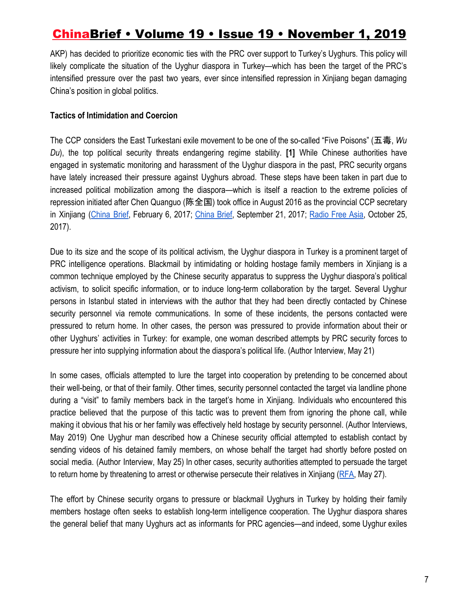AKP) has decided to prioritize economic ties with the PRC over support to Turkey's Uyghurs. This policy will likely complicate the situation of the Uyghur diaspora in Turkey—which has been the target of the PRC's intensified pressure over the past two years, ever since intensified repression in Xinjiang began damaging China's position in global politics.

### **Tactics of Intimidation and Coercion**

The CCP considers the East Turkestani exile movement to be one of the so-called "Five Poisons" (五毒, *Wu Du*), the top political security threats endangering regime stability. **[1]** While Chinese authorities have engaged in systematic monitoring and harassment of the Uyghur diaspora in the past, PRC security organs have lately increased their pressure against Uyghurs abroad. These steps have been taken in part due to increased political mobilization among the diaspora—which is itself a reaction to the extreme policies of repression initiated after Chen Quanguo (陈全国) took office in August 2016 as the provincial CCP secretary in Xinjiang ([China](https://jamestown.org/program/beijings-new-scorched-earth-policy-uighurs/) Brief, February 6, 2017; [China](https://jamestown.org/program/chen-quanguo-the-strongman-behind-beijings-securitization-strategy-in-tibet-and-xinjiang/) Brief, September 21, 2017; [Radio](https://web.archive.org/web/20191004235106/https:/www.rfa.org/uyghur/xewerler/kishilik-hoquq/xitay-jasus-10252017161259.html?searchterm%253Autf8%253Austring=%2520jasus&encoding=arabic) Free Asia, October 25, 2017).

Due to its size and the scope of its political activism, the Uyghur diaspora in Turkey is a prominent target of PRC intelligence operations. Blackmail by intimidating or holding hostage family members in Xinjiang is a common technique employed by the Chinese security apparatus to suppress the Uyghur diaspora's political activism, to solicit specific information, or to induce long-term collaboration by the target. Several Uyghur persons in Istanbul stated in interviews with the author that they had been directly contacted by Chinese security personnel via remote communications. In some of these incidents, the persons contacted were pressured to return home. In other cases, the person was pressured to provide information about their or other Uyghurs' activities in Turkey: for example, one woman described attempts by PRC security forces to pressure her into supplying information about the diaspora's political life. (Author Interview, May 21)

In some cases, officials attempted to lure the target into cooperation by pretending to be concerned about their well-being, or that of their family. Other times, security personnel contacted the target via landline phone during a "visit" to family members back in the target's home in Xinjiang. Individuals who encountered this practice believed that the purpose of this tactic was to prevent them from ignoring the phone call, while making it obvious that his or her family was effectively held hostage by security personnel. (Author Interviews, May 2019) One Uyghur man described how a Chinese security official attempted to establish contact by sending videos of his detained family members, on whose behalf the target had shortly before posted on social media. (Author Interview, May 25) In other cases, security authorities attempted to persuade the target to return home by threatening to arrest or otherwise persecute their relatives in Xinjiang ([RFA](https://web.archive.org/web/20191030120213/https:/www.rfa.org/uyghur/xewerler/qaytqan-uyghur-05222019170436.html?encoding=arabic), May 27).

The effort by Chinese security organs to pressure or blackmail Uyghurs in Turkey by holding their family members hostage often seeks to establish long-term intelligence cooperation. The Uyghur diaspora shares the general belief that many Uyghurs act as informants for PRC agencies—and indeed, some Uyghur exiles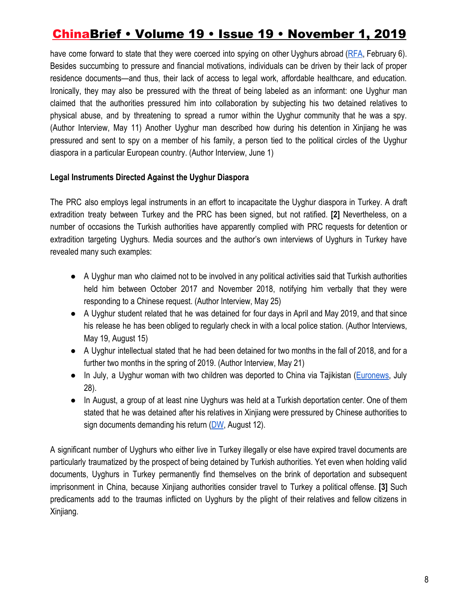have come forward to state that they were coerced into spying on other Uyghurs abroad [\(RFA,](https://web.archive.org/web/20191030120442/https:/www.rfa.org/uyghur/xewerler/siyaset/jasusluq-02042019153736.html?searchterm:utf8:ustring=%20sabiq%20alahide%20xadimi&encoding=arabic) February 6). Besides succumbing to pressure and financial motivations, individuals can be driven by their lack of proper residence documents—and thus, their lack of access to legal work, affordable healthcare, and education. Ironically, they may also be pressured with the threat of being labeled as an informant: one Uyghur man claimed that the authorities pressured him into collaboration by subjecting his two detained relatives to physical abuse, and by threatening to spread a rumor within the Uyghur community that he was a spy. (Author Interview, May 11) Another Uyghur man described how during his detention in Xinjiang he was pressured and sent to spy on a member of his family, a person tied to the political circles of the Uyghur diaspora in a particular European country. (Author Interview, June 1)

### **Legal Instruments Directed Against the Uyghur Diaspora**

The PRC also employs legal instruments in an effort to incapacitate the Uyghur diaspora in Turkey. A draft extradition treaty between Turkey and the PRC has been signed, but not ratified. **[2]** Nevertheless, on a number of occasions the Turkish authorities have apparently complied with PRC requests for detention or extradition targeting Uyghurs. Media sources and the author's own interviews of Uyghurs in Turkey have revealed many such examples:

- A Uyghur man who claimed not to be involved in any political activities said that Turkish authorities held him between October 2017 and November 2018, notifying him verbally that they were responding to a Chinese request. (Author Interview, May 25)
- A Uyghur student related that he was detained for four days in April and May 2019, and that since his release he has been obliged to regularly check in with a local police station. (Author Interviews, May 19, August 15)
- A Uyghur intellectual stated that he had been detained for two months in the fall of 2018, and for a further two months in the spring of 2019. (Author Interview, May 21)
- In July, a Uyghur woman with two children was deported to China via Tajikistan ([Euronews](https://web.archive.org/web/20191030120610/https:/tr.euronews.com/2019/07/28/dogu-turkistan-meclis-baskani-tumturk-zinnetgul-tursun-turkiyeden-sinir-disi-edildi), July 28).
- In August, a group of at least nine Uyghurs was held at a Turkish deportation center. One of them stated that he was detained after his relatives in Xinjiang were pressured by Chinese authorities to sign documents demanding his return  $(DW,$  $(DW,$  August 12).

A significant number of Uyghurs who either live in Turkey illegally or else have expired travel documents are particularly traumatized by the prospect of being detained by Turkish authorities. Yet even when holding valid documents, Uyghurs in Turkey permanently find themselves on the brink of deportation and subsequent imprisonment in China, because Xinjiang authorities consider travel to Turkey a political offense. **[3]** Such predicaments add to the traumas inflicted on Uyghurs by the plight of their relatives and fellow citizens in Xinjiang.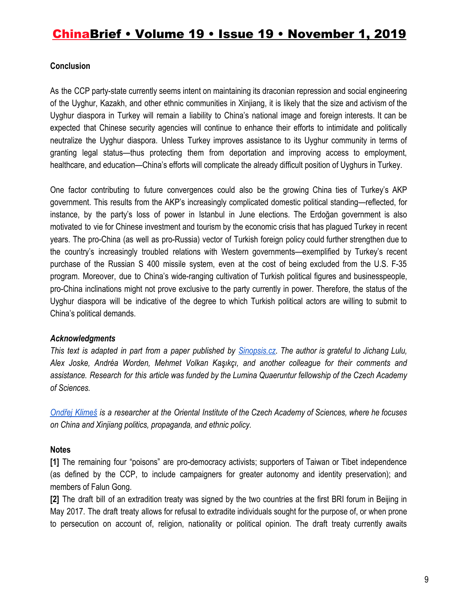### **Conclusion**

As the CCP party-state currently seems intent on maintaining its draconian repression and social engineering of the Uyghur, Kazakh, and other ethnic communities in Xinjiang, it is likely that the size and activism of the Uyghur diaspora in Turkey will remain a liability to China's national image and foreign interests. It can be expected that Chinese security agencies will continue to enhance their efforts to intimidate and politically neutralize the Uyghur diaspora. Unless Turkey improves assistance to its Uyghur community in terms of granting legal status—thus protecting them from deportation and improving access to employment, healthcare, and education—China's efforts will complicate the already difficult position of Uyghurs in Turkey.

One factor contributing to future convergences could also be the growing China ties of Turkey's AKP government. This results from the AKP's increasingly complicated domestic political standing—reflected, for instance, by the party's loss of power in Istanbul in June elections. The Erdoğan government is also motivated to vie for Chinese investment and tourism by the economic crisis that has plagued Turkey in recent years. The pro-China (as well as pro-Russia) vector of Turkish foreign policy could further strengthen due to the country's increasingly troubled relations with Western governments—exemplified by Turkey's recent purchase of the Russian S 400 missile system, even at the cost of being excluded from the U.S. F-35 program. Moreover, due to China's wide-ranging cultivation of Turkish political figures and businesspeople, pro-China inclinations might not prove exclusive to the party currently in power. Therefore, the status of the Uyghur diaspora will be indicative of the degree to which Turkish political actors are willing to submit to China's political demands.

#### *Acknowledgments*

This text is adapted in part from a paper published by [Sinopsis.cz.](https://sinopsis.cz/en/klimes-xinjiang-turkey/) The author is grateful to Jichang Lulu, *Alex Joske, Andréa Worden, Mehmet Volkan Kaşıkçı, and another colleague for their comments and assistance. Research for this article was funded by the Lumina Quaeruntur fellowship of the Czech Academy of Sciences.*

[Ondřej](http://www.orient.cas.cz/kontakty/pracovnici/klimes.html) Klimeš is a researcher at the Oriental Institute of the Czech Academy of Sciences, where he focuses *on China and Xinjiang politics, propaganda, and ethnic policy.*

### **Notes**

**[1]** The remaining four "poisons" are pro-democracy activists; supporters of Taiwan or Tibet independence (as defined by the CCP, to include campaigners for greater autonomy and identity preservation); and members of Falun Gong.

**[2]** The draft bill of an extradition treaty was signed by the two countries at the first BRI forum in Beijing in May 2017. The draft treaty allows for refusal to extradite individuals sought for the purpose of, or when prone to persecution on account of, religion, nationality or political opinion. The draft treaty currently awaits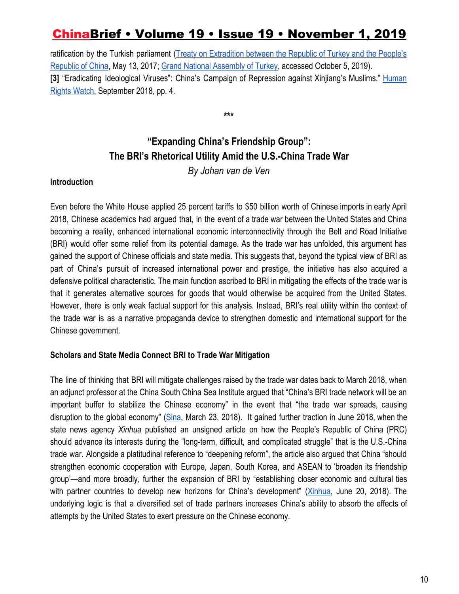ratification by the Turkish parliament (Treaty on [Extradition](https://web.archive.org/web/20190811100832/https:/www2.tbmm.gov.tr/d27/2/2-1798.pdf) between the Republic of Turkey and the People's [Republic of China,](https://web.archive.org/web/20190811100832/https:/www2.tbmm.gov.tr/d27/2/2-1798.pdf) May 13, 2017[;](https://web.archive.org/web/20190811101012/https:/www.tbmm.gov.tr/develop/owa/tasari_teklif_sd.onerge_bilgileri?kanunlar_sira_no=248165) [Grand National Assembly of Turkey](https://web.archive.org/web/20190811101012/https:/www.tbmm.gov.tr/develop/owa/tasari_teklif_sd.onerge_bilgileri?kanunlar_sira_no=248165), accessed October 5, 2019). **[3]** "Eradicating Ideological Viruses": China's Campaign of Repression against Xinjiang's Muslims," [Human](https://web.archive.org/web/20190810203546/https:/www.hrw.org/sites/default/files/report_pdf/china0918_web.pdf) [Rights Watch](https://web.archive.org/web/20190810203546/https:/www.hrw.org/sites/default/files/report_pdf/china0918_web.pdf), September 2018, pp. 4.

**\*\*\***

### **"Expanding China's Friendship Group": The BRI's Rhetorical Utility Amid the U.S.-China Trade War**

*By Johan van de Ven*

### **Introduction**

Even before the White House applied 25 percent tariffs to \$50 billion worth of Chinese imports in early April 2018, Chinese academics had argued that, in the event of a trade war between the United States and China becoming a reality, enhanced international economic interconnectivity through the Belt and Road Initiative (BRI) would offer some relief from its potential damage. As the trade war has unfolded, this argument has gained the support of Chinese officials and state media. This suggests that, beyond the typical view of BRI as part of China's pursuit of increased international power and prestige, the initiative has also acquired a defensive political characteristic. The main function ascribed to BRI in mitigating the effects of the trade war is that it generates alternative sources for goods that would otherwise be acquired from the United States. However, there is only weak factual support for this analysis. Instead, BRI's real utility within the context of the trade war is as a narrative propaganda device to strengthen domestic and international support for the Chinese government.

### **Scholars and State Media Connect BRI to Trade War Mitigation**

The line of thinking that BRI will mitigate challenges raised by the trade war dates back to March 2018, when an adjunct professor at the China South China Sea Institute argued that "China's BRI trade network will be an important buffer to stabilize the Chinese economy" in the event that "the trade war spreads, causing disruption to the global economy" ([Sina,](http://news.sina.com.cn/o/2018-03-23/doc-ifysppvi9317244.shtml) March 23, 2018). It gained further traction in June 2018, when the state news agency *Xinhua* published an unsigned article on how the People's Republic of China (PRC) should advance its interests during the "long-term, difficult, and complicated struggle" that is the U.S.-China trade war. Alongside a platitudinal reference to "deepening reform", the article also argued that China "should strengthen economic cooperation with Europe, Japan, South Korea, and ASEAN to 'broaden its friendship group'—and more broadly, further the expansion of BRI by "establishing closer economic and cultural ties with partner countries to develop new horizons for China's development" [\(Xinhua](http://www.xinhuanet.com/finance/2018-06/20/c_1123009636.htm), June 20, 2018). The underlying logic is that a diversified set of trade partners increases China's ability to absorb the effects of attempts by the United States to exert pressure on the Chinese economy.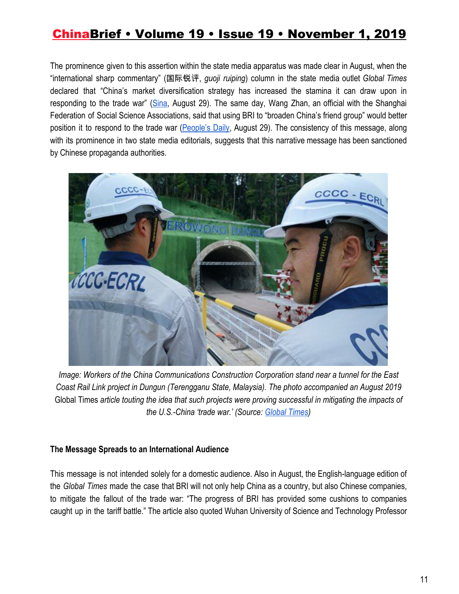The prominence given to this assertion within the state media apparatus was made clear in August, when the "international sharp commentary" (国际锐评, *guoji ruiping*) column in the state media outlet *Global Times* declared that "China's market diversification strategy has increased the stamina it can draw upon in responding to the trade war" [\(Sina,](https://finance.sina.com.cn/review/hgds/2019-08-29/doc-iicezzrq2037931.shtml) August 29). The same day, Wang Zhan, an official with the Shanghai Federation of Social Science Associations, said that using BRI to "broaden China's friend group" would better position it to respond to the trade war [\(People's](http://ydyl.people.com.cn/n1/2019/0829/c411837-31324369.html) Daily, August 29). The consistency of this message, along with its prominence in two state media editorials, suggests that this narrative message has been sanctioned by Chinese propaganda authorities.



*Image: Workers of the China Communications Construction Corporation stand near a tunnel for the East Coast Rail Link project in Dungun (Terengganu State, Malaysia). The photo accompanied an August 2019* Global Times *article touting the idea that such projects were proving successful in mitigating the impacts of the U.S.-China 'trade war.' (Source[:](http://www.globaltimes.cn/content/1160319.shtml) [Global Times](http://www.globaltimes.cn/content/1160319.shtml))*

#### **The Message Spreads to an International Audience**

This message is not intended solely for a domestic audience. Also in August, the English-language edition of the *Global Times* made the case that BRI will not only help China as a country, but also Chinese companies, to mitigate the fallout of the trade war: "The progress of BRI has provided some cushions to companies caught up in the tariff battle." The article also quoted Wuhan University of Science and Technology Professor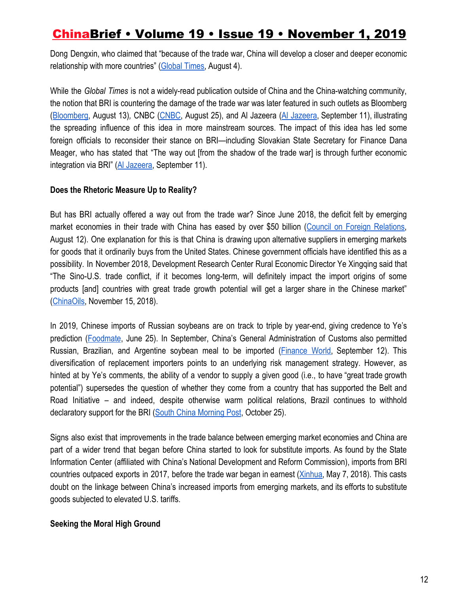Dong Dengxin, who claimed that "because of the trade war, China will develop a closer and deeper economic relationship with more countries" [\(Global Times,](http://www.globaltimes.cn/content/1160319.shtml) August 4).

While the *Global Times* is not a widely-read publication outside of China and the China-watching community, the notion that BRI is countering the damage of the trade war was later featured in such outlets as Bloomberg [\(Bloomberg,](https://www.bloomberg.com/opinion/articles/2019-08-13/trump-s-trade-war-gives-new-life-to-china-belt-and-road-program) August 13)*,* CNBC [\(CNBC](https://www.cnbc.com/2019/08/26/trade-war-what-it-means-for-china-firms-as-trumps-calls-us-firms-to-go.html), August 25), and Al Jazeera (Al [Jazeera](https://www.aljazeera.com/ajimpact/hong-kong-touts-china-belt-road-shore-global-trade-190911094342724.html), September 11), illustrating the spreading influence of this idea in more mainstream sources. The impact of this idea has led some foreign officials to reconsider their stance on BRI—including Slovakian State Secretary for Finance Dana Meager, who has stated that "The way out [from the shadow of the trade war] is through further economic integration via BRI" ([Al Jazeera](https://www.aljazeera.com/ajimpact/hong-kong-touts-china-belt-road-shore-global-trade-190911094342724.html), September 11).

#### **Does the Rhetoric Measure Up to Reality?**

But has BRI actually offered a way out from the trade war? Since June 2018, the deficit felt by emerging market economies in their trade with China has eased by over \$50 billion (Council on Foreign [Relations,](https://www.cfr.org/blog/trumps-trade-war-puts-belt-and-road-first) August 12). One explanation for this is that China is drawing upon alternative suppliers in emerging markets for goods that it ordinarily buys from the United States. Chinese government officials have identified this as a possibility. In November 2018, Development Research Center Rural Economic Director Ye Xingqing said that "The Sino-U.S. trade conflict, if it becomes long-term, will definitely impact the import origins of some products [and] countries with great trade growth potential will get a larger share in the Chinese market" [\(ChinaOils,](http://www.chinaoils.cn/news/show.php?itemid=19141) November 15, 2018).

In 2019, Chinese imports of Russian soybeans are on track to triple by year-end, giving credence to Ye's prediction [\(Foodmate](http://news.foodmate.net/2019/06/523785.html), June 25). In September, China's General Administration of Customs also permitted Russian, Brazilian, and Argentine soybean meal to be imported [\(Finance](http://futures.jrj.com.cn/2019/09/12093728125937.shtml) World, September 12). This diversification of replacement importers points to an underlying risk management strategy. However, as hinted at by Ye's comments, the ability of a vendor to supply a given good (i.e., to have "great trade growth potential") supersedes the question of whether they come from a country that has supported the Belt and Road Initiative – and indeed, despite otherwise warm political relations, Brazil continues to withhold declaratory support for the BRI ([South China Morning Post,](https://www.scmp.com/news/china/diplomacy/article/3034291/china-basher-or-bridge-builder-what-can-we-expect-when) October 25).

Signs also exist that improvements in the trade balance between emerging market economies and China are part of a wider trend that began before China started to look for substitute imports. As found by the State Information Center (affiliated with China's National Development and Reform Commission), imports from BRI countries outpaced exports in 2017, before the trade war began in earnest ([Xinhua](http://www.xinhuanet.com/english/2018-05/07/c_137161587.htm), May 7, 2018). This casts doubt on the linkage between China's increased imports from emerging markets, and its efforts to substitute goods subjected to elevated U.S. tariffs.

### **Seeking the Moral High Ground**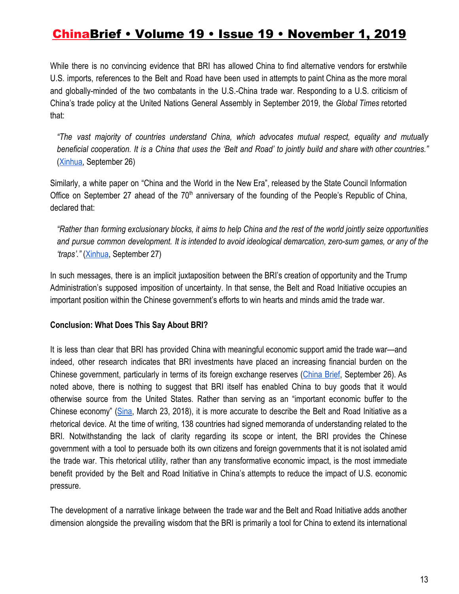While there is no convincing evidence that BRI has allowed China to find alternative vendors for erstwhile U.S. imports, references to the Belt and Road have been used in attempts to paint China as the more moral and globally-minded of the two combatants in the U.S.-China trade war. Responding to a U.S. criticism of China's trade policy at the United Nations General Assembly in September 2019, the *Global Times* retorted that:

*"The vast majority of countries understand China, which advocates mutual respect, equality and mutually* beneficial cooperation. It is a China that uses the 'Belt and Road' to jointly build and share with other countries." ([Xinhua,](http://www.xinhuanet.com/world/2019-09/26/c_1125042965.htm) September 26)

Similarly, a white paper on "China and the World in the New Era", released by the State Council Information Office on September 27 ahead of the  $70<sup>th</sup>$  anniversary of the founding of the People's Republic of China, declared that:

"Rather than forming exclusionary blocks, it aims to help China and the rest of the world jointly seize opportunities and pursue common development. It is intended to avoid ideological demarcation, zero-sum games, or any of the *'traps'."* [\(Xinhua,](http://www.xinhuanet.com/english/2019-09/27/c_138427369.htm) September 27)

In such messages, there is an implicit juxtaposition between the BRI's creation of opportunity and the Trump Administration's supposed imposition of uncertainty. In that sense, the Belt and Road Initiative occupies an important position within the Chinese government's efforts to win hearts and minds amid the trade war.

### **Conclusion: What Does This Say About BRI?**

It is less than clear that BRI has provided China with meaningful economic support amid the trade war—and indeed, other research indicates that BRI investments have placed an increasing financial burden on the Chinese government, particularly in terms of its foreign exchange reserves [\(China](https://jamestown.org/program/the-belt-and-road-initiative-adds-more-partners-but-beijing-has-fewer-dollars-to-spend/) Brief, September 26). As noted above, there is nothing to suggest that BRI itself has enabled China to buy goods that it would otherwise source from the United States. Rather than serving as an "important economic buffer to the Chinese economy" ([Sina](http://news.sina.com.cn/o/2018-03-23/doc-ifysppvi9317244.shtml), March 23, 2018), it is more accurate to describe the Belt and Road Initiative as a rhetorical device. At the time of writing, 138 countries had signed memoranda of understanding related to the BRI. Notwithstanding the lack of clarity regarding its scope or intent, the BRI provides the Chinese government with a tool to persuade both its own citizens and foreign governments that it is not isolated amid the trade war. This rhetorical utility, rather than any transformative economic impact, is the most immediate benefit provided by the Belt and Road Initiative in China's attempts to reduce the impact of U.S. economic pressure.

The development of a narrative linkage between the trade war and the Belt and Road Initiative adds another dimension alongside the prevailing wisdom that the BRI is primarily a tool for China to extend its international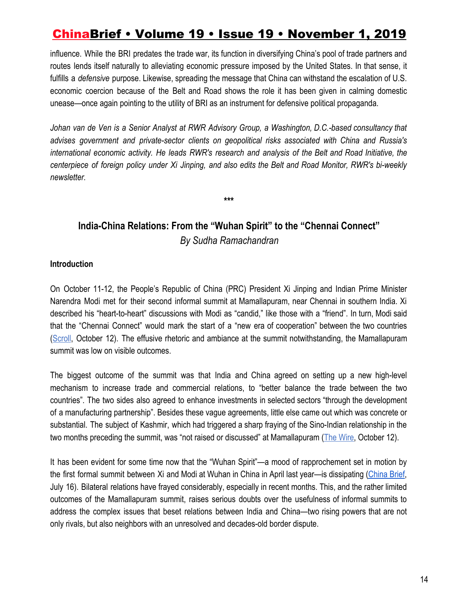influence. While the BRI predates the trade war, its function in diversifying China's pool of trade partners and routes lends itself naturally to alleviating economic pressure imposed by the United States. In that sense, it fulfills a *defensive* purpose. Likewise, spreading the message that China can withstand the escalation of U.S. economic coercion because of the Belt and Road shows the role it has been given in calming domestic unease—once again pointing to the utility of BRI as an instrument for defensive political propaganda.

*Johan van de Ven is a Senior Analyst at RWR Advisory Group, a Washington, D.C.-based consultancy that advises government and private-sector clients on geopolitical risks associated with China and Russia's international economic activity. He leads RWR's research and analysis of the Belt and Road Initiative, the centerpiece of foreign policy under Xi Jinping, and also edits the Belt and Road Monitor, RWR's bi-weekly newsletter.*

**India-China Relations: From the "Wuhan Spirit" to the "Chennai Connect"** *By Sudha Ramachandran*

**\*\*\***

#### **Introduction**

On October 11-12, the People's Republic of China (PRC) President Xi Jinping and Indian Prime Minister Narendra Modi met for their second informal summit at Mamallapuram, near Chennai in southern India. Xi described his "heart-to-heart" discussions with Modi as "candid," like those with a "friend". In turn, Modi said that the "Chennai Connect" would mark the start of a "new era of cooperation" between the two countries [\(Scroll](https://scroll.in/latest/940256/chennai-connect-marks-new-era-in-india-china-cooperation-pm-modi-at-summit-with-xi-jinping), October 12). The effusive rhetoric and ambiance at the summit notwithstanding, the Mamallapuram summit was low on visible outcomes.

The biggest outcome of the summit was that India and China agreed on setting up a new high-level mechanism to increase trade and commercial relations, to "better balance the trade between the two countries". The two sides also agreed to enhance investments in selected sectors "through the development of a manufacturing partnership". Besides these vague agreements, little else came out which was concrete or substantial. The subject of Kashmir, which had triggered a sharp fraying of the Sino-Indian relationship in the two months preceding the summit, was "not raised or discussed" at Mamallapuram [\(The Wire](https://thewire.in/diplomacy/informal-summit-no-mention-of-kashmir-india-and-china-announce-new-dialogue-mechanism), October 12).

It has been evident for some time now that the "Wuhan Spirit"—a mood of rapprochement set in motion by the first formal summit between Xi and Modi at Wuhan in China in April last year—is dissipating [\(China](https://jamestown.org/program/the-prospects-for-sino-indian-relations-during-modis-second-term/) Brief, July 16). Bilateral relations have frayed considerably, especially in recent months. This, and the rather limited outcomes of the Mamallapuram summit, raises serious doubts over the usefulness of informal summits to address the complex issues that beset relations between India and China—two rising powers that are not only rivals, but also neighbors with an unresolved and decades-old border dispute.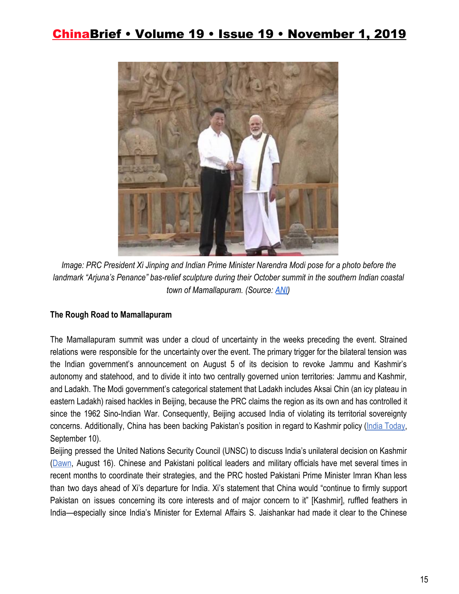

*Image: PRC President Xi Jinping and Indian Prime Minister Narendra Modi pose for a photo before the landmark "Arjuna's Penance" bas-relief sculpture during their October summit in the southern Indian coastal town of Mamallapuram. (Source: [ANI](https://www.amarujala.com/india-news/live-modi-jinping-will-arrive-in-chennai-in-noon-security-tightened-amid-informal-summit))*

### **The Rough Road to Mamallapuram**

The Mamallapuram summit was under a cloud of uncertainty in the weeks preceding the event. Strained relations were responsible for the uncertainty over the event. The primary trigger for the bilateral tension was the Indian government's announcement on August 5 of its decision to revoke Jammu and Kashmir's autonomy and statehood, and to divide it into two centrally governed union territories: Jammu and Kashmir, and Ladakh. The Modi government's categorical statement that Ladakh includes Aksai Chin (an icy plateau in eastern Ladakh) raised hackles in Beijing, because the PRC claims the region as its own and has controlled it since the 1962 Sino-Indian War. Consequently, Beijing accused India of violating its territorial sovereignty concerns. Additionally, China has been backing Pakistan's position in regard to Kashmir policy (*India Today*, September 10).

Beijing pressed the United Nations Security Council (UNSC) to discuss India's unilateral decision on Kashmir [\(Dawn](https://www.dawn.com/news/1499763), August 16). Chinese and Pakistani political leaders and military officials have met several times in recent months to coordinate their strategies, and the PRC hosted Pakistani Prime Minister Imran Khan less than two days ahead of Xi's departure for India. Xi's statement that China would "continue to firmly support Pakistan on issues concerning its core interests and of major concern to it" [Kashmir], ruffled feathers in India—especially since India's Minister for External Affairs S. Jaishankar had made it clear to the Chinese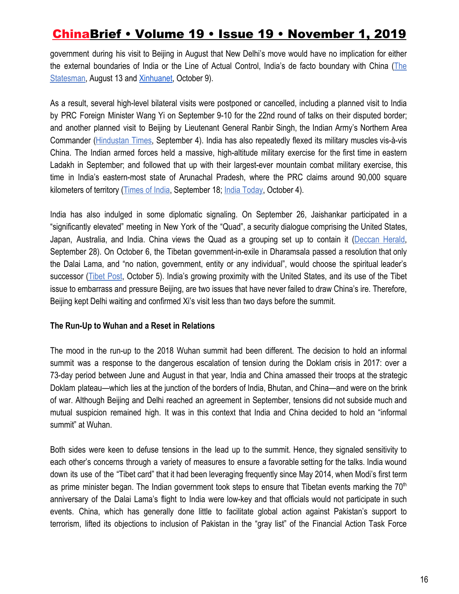government during his visit to Beijing in August that New Delhi's move would have no implication for either the external boundaries of India or the Line of Actual Control, India's de facto boundary with China ([The](https://www.thestatesman.com/india/kashmir-internal-matter-impact-border-s-jaishankar-assures-china-1502788313.html) [Statesman](https://www.thestatesman.com/india/kashmir-internal-matter-impact-border-s-jaishankar-assures-china-1502788313.html), August 13 and [Xinhuanet](http://www.xinhuanet.com/english/2019-10/09/c_138458823.htm), October 9).

As a result, several high-level bilateral visits were postponed or cancelled, including a planned visit to India by PRC Foreign Minister Wang Yi on September 9-10 for the 22nd round of talks on their disputed border; and another planned visit to Beijing by Lieutenant General Ranbir Singh, the Indian Army's Northern Area Commander ([Hindustan](https://www.hindustantimes.com/india-news/india-china-boundary-talks-could-be-delayed/story-CrvY0KG9IItIIM7jyEypeJ.html) Times, September 4). India has also repeatedly flexed its military muscles vis-à-vis China. The Indian armed forces held a massive, high-altitude military exercise for the first time in eastern Ladakh in September; and followed that up with their largest-ever mountain combat military exercise, this time in India's eastern-most state of Arunachal Pradesh, where the PRC claims around 90,000 square kilometers of territory ([Times of India](https://timesofindia.indiatimes.com/india/eye-on-china-army-conducts-exercise-at-ladakh-iaf-re-opens-airstrip-in-arunachal-for-planes/articleshow/71188503.cms), September 18; [India Today,](https://www.indiatoday.in/india/story/army-conducts-war-games-near-china-border-in-arunachal-pradesh-1606109-2019-10-04) October 4).

India has also indulged in some diplomatic signaling. On September 26, Jaishankar participated in a "significantly elevated" meeting in New York of the "Quad", a security dialogue comprising the United States, Japan, Australia, and India. China views the Quad as a grouping set up to contain it ([Deccan](https://www.deccanherald.com/national/india-joins-us-led-move-to-elevate-quad-against-china-764717.html) Herald, September 28). On October 6, the Tibetan government-in-exile in Dharamsala passed a resolution that only the Dalai Lama, and "no nation, government, entity or any individual", would choose the spiritual leader's successor [\(Tibet](http://www.thetibetpost.com/en/news/international/6633-tibetan-govt-outrightly-rejects-china%E2%80%99s-interference-in-tibet-s-reincarnation) Post, October 5). India's growing proximity with the United States, and its use of the Tibet issue to embarrass and pressure Beijing, are two issues that have never failed to draw China's ire. Therefore, Beijing kept Delhi waiting and confirmed Xi's visit less than two days before the summit.

#### **The Run-Up to Wuhan and a Reset in Relations**

The mood in the run-up to the 2018 Wuhan summit had been different. The decision to hold an informal summit was a response to the dangerous escalation of tension during the Doklam crisis in 2017: over a 73-day period between June and August in that year, India and China amassed their troops at the strategic Doklam plateau—which lies at the junction of the borders of India, Bhutan, and China—and were on the brink of war. Although Beijing and Delhi reached an agreement in September, tensions did not subside much and mutual suspicion remained high. It was in this context that India and China decided to hold an "informal summit" at Wuhan.

Both sides were keen to defuse tensions in the lead up to the summit. Hence, they signaled sensitivity to each other's concerns through a variety of measures to ensure a favorable setting for the talks. India wound down its use of the "Tibet card" that it had been leveraging frequently since May 2014, when Modi's first term as prime minister began. The Indian government took steps to ensure that Tibetan events marking the  $70<sup>th</sup>$ anniversary of the Dalai Lama's flight to India were low-key and that officials would not participate in such events. China, which has generally done little to facilitate global action against Pakistan's support to terrorism, lifted its objections to inclusion of Pakistan in the "gray list" of the Financial Action Task Force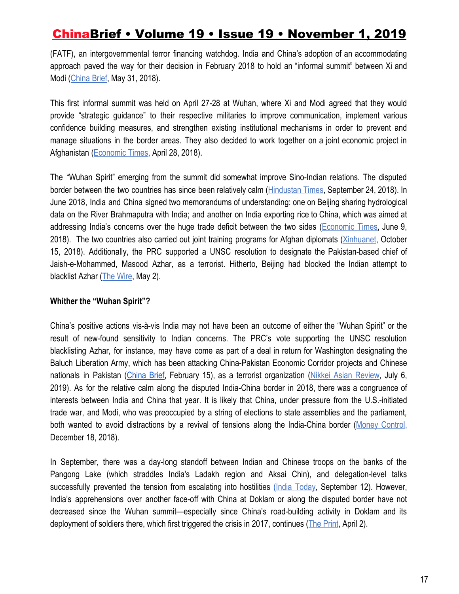(FATF), an intergovernmental terror financing watchdog. India and China's adoption of an accommodating approach paved the way for their decision in February 2018 to hold an "informal summit" between Xi and Modi [\(China Brief](https://jamestown.org/program/why-india-wont-play-its-tibet-card/), May 31, 2018).

This first informal summit was held on April 27-28 at Wuhan, where Xi and Modi agreed that they would provide "strategic guidance" to their respective militaries to improve communication, implement various confidence building measures, and strengthen existing institutional mechanisms in order to prevent and manage situations in the border areas. They also decided to work together on a joint economic project in Afghanistan ([Economic Times,](https://economictimes.indiatimes.com/news/politics-and-nation/special-representatives-will-deal-with-border-issues-vijay-gokhale/articleshow/63948820.cms) April 28, 2018).

The "Wuhan Spirit" emerging from the summit did somewhat improve Sino-Indian relations. The disputed border between the two countries has since been relatively calm ([Hindustan](https://www.hindustantimes.com/india-news/china-incursions-along-lac-dropped-by-20-in-a-year-officials/story-TD5egBE5rgswWSkNAy4CiP.html) Times, September 24, 2018). In June 2018, India and China signed two memorandums of understanding: one on Beijing sharing hydrological data on the River Brahmaputra with India; and another on India exporting rice to China, which was aimed at addressing India's concerns over the huge trade deficit between the two sides ([Economic](https://economictimes.indiatimes.com/news/politics-and-nation/pm-narendra-modi-meets-chinese-president-xi-on-sidelines-of-sco-summit/articleshow/64520120.cms?from=mdr) Times, June 9, 2018). The two countries also carried out joint training programs for Afghan diplomats ([Xinhuanet,](http://www.xinhuanet.com/english/2018-10/15/c_137534258.htm) October 15, 2018). Additionally, the PRC supported a UNSC resolution to designate the Pakistan-based chief of Jaish-e-Mohammed, Masood Azhar, as a terrorist. Hitherto, Beijing had blocked the Indian attempt to blacklist Azhar [\(The Wire](https://thewire.in/diplomacy/masood-azhar-listed-unsc-global-terrorist), May 2).

#### **Whither the "Wuhan Spirit"?**

China's positive actions vis-à-vis India may not have been an outcome of either the "Wuhan Spirit" or the result of new-found sensitivity to Indian concerns. The PRC's vote supporting the UNSC resolution blacklisting Azhar, for instance, may have come as part of a deal in return for Washington designating the Baluch Liberation Army, which has been attacking China-Pakistan Economic Corridor projects and Chinese nationals in Pakistan ([China](https://jamestown.org/program/the-balochistan-insurgency-and-the-threat-to-chinese-interests-in-pakistan/) Brief, February 15), as a terrorist organization (Nikkei Asian [Review](https://asia.nikkei.com/Politics/International-relations/US-labels-Pakistani-insurgents-terrorists-in-victory-for-China), July 6, 2019). As for the relative calm along the disputed India-China border in 2018, there was a congruence of interests between India and China that year. It is likely that China, under pressure from the U.S.-initiated trade war, and Modi, who was preoccupied by a string of elections to state assemblies and the parliament, both wanted to avoid distractions by a revival of tensions along the India-China border (Money [Control,](https://www.moneycontrol.com/news/trends/current-affairs-trends/opinion-in-2019-is-india-prepared-to-promote-itself-as-an-alternative-to-china-3329461.html) December 18, 2018).

In September, there was a day-long standoff between Indian and Chinese troops on the banks of the Pangong Lake (which straddles India's Ladakh region and Aksai Chin), and delegation-level talks successfully prevented the tension from escalating into hostilities [\(](https://www.indiatoday.in/india/story/india-china-army-ladakh-face-off-confrontation-1598214-2019-09-12)India [Today](https://www.indiatoday.in/india/story/india-china-army-ladakh-face-off-confrontation-1598214-2019-09-12), September 12). However, India's apprehensions over another face-off with China at Doklam or along the disputed border have not decreased since the Wuhan summit—especially since China's road-building activity in Doklam and its deployment of soldiers there, which first triggered the crisis in 2017, continues ([The Print,](https://theprint.in/defence/near-doklam-china-is-again-increasing-forces-building-roads-even-a-possible-heliport/215512/) April 2).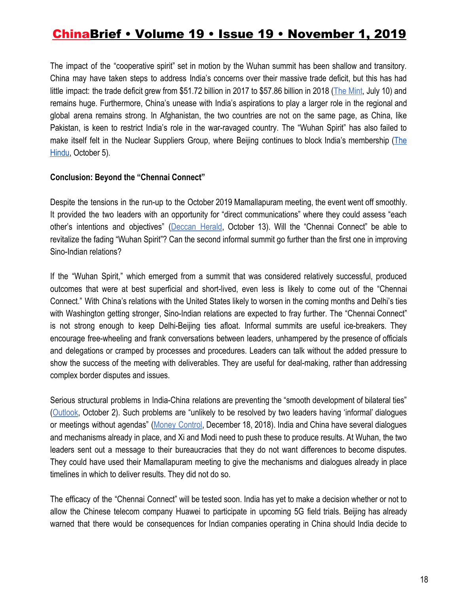The impact of the "cooperative spirit" set in motion by the Wuhan summit has been shallow and transitory. China may have taken steps to address India's concerns over their massive trade deficit, but this has had little impact: the trade deficit grew from \$51.72 billion in 2017 to \$57.86 billion in 2018 (The [Mint,](https://www.livemint.com/news/india/india-china-bilateral-trade-declines-by-3-59-in-first-5-months-of-this-year-1562697895804.html) July 10) and remains huge. Furthermore, China's unease with India's aspirations to play a larger role in the regional and global arena remains strong. In Afghanistan, the two countries are not on the same page, as China, like Pakistan, is keen to restrict India's role in the war-ravaged country. The "Wuhan Spirit" has also failed to make itself felt in the Nuclear Suppliers Group, where Beijing continues to block India's membership ([The](https://www.thehindu.com/opinion/lead/in-search-of-the-wuhan-spirit/article29598178.ece) [Hindu,](https://www.thehindu.com/opinion/lead/in-search-of-the-wuhan-spirit/article29598178.ece) October 5).

#### **Conclusion: Beyond the "Chennai Connect"**

Despite the tensions in the run-up to the October 2019 Mamallapuram meeting, the event went off smoothly. It provided the two leaders with an opportunity for "direct communications" where they could assess "each other's intentions and objectives" [\(Deccan](https://www.deccanherald.com/opinion/modi-and-xi-talked-much-but-said-nothing-767999.html) Herald, October 13). Will the "Chennai Connect" be able to revitalize the fading "Wuhan Spirit"? Can the second informal summit go further than the first one in improving Sino-Indian relations?

If the "Wuhan Spirit," which emerged from a summit that was considered relatively successful, produced outcomes that were at best superficial and short-lived, even less is likely to come out of the "Chennai Connect." With China's relations with the United States likely to worsen in the coming months and Delhi's ties with Washington getting stronger, Sino-Indian relations are expected to fray further. The "Chennai Connect" is not strong enough to keep Delhi-Beijing ties afloat. Informal summits are useful ice-breakers. They encourage free-wheeling and frank conversations between leaders, unhampered by the presence of officials and delegations or cramped by processes and procedures. Leaders can talk without the added pressure to show the success of the meeting with deliverables. They are useful for deal-making, rather than addressing complex border disputes and issues.

Serious structural problems in India-China relations are preventing the "smooth development of bilateral ties" [\(Outlook](https://www.outlookindia.com/magazine/story/world-news-structural-problems-must-be-addressed/302193), October 2). Such problems are "unlikely to be resolved by two leaders having 'informal' dialogues or meetings without agendas" (Money [Control,](https://www.moneycontrol.com/news/trends/current-affairs-trends/opinion-in-2019-is-india-prepared-to-promote-itself-as-an-alternative-to-china-3329461.html) December 18, 2018). India and China have several dialogues and mechanisms already in place, and Xi and Modi need to push these to produce results. At Wuhan, the two leaders sent out a message to their bureaucracies that they do not want differences to become disputes. They could have used their Mamallapuram meeting to give the mechanisms and dialogues already in place timelines in which to deliver results. They did not do so.

The efficacy of the "Chennai Connect" will be tested soon. India has yet to make a decision whether or not to allow the Chinese telecom company Huawei to participate in upcoming 5G field trials. Beijing has already warned that there would be consequences for Indian companies operating in China should India decide to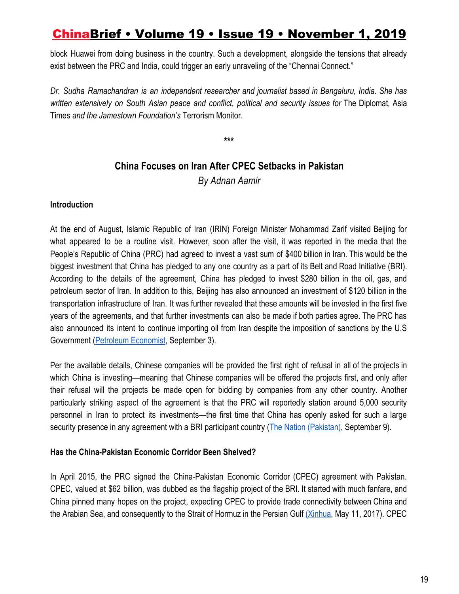block Huawei from doing business in the country. Such a development, alongside the tensions that already exist between the PRC and India, could trigger an early unraveling of the "Chennai Connect."

*Dr. Sudha Ramachandran is an independent researcher and journalist based in Bengaluru, India. She has written extensively on South Asian peace and conflict, political and security issues for* The Diplomat*,* Asia Times *and the Jamestown Foundation's* Terrorism Monitor.

**\*\*\***

### **China Focuses on Iran After CPEC Setbacks in Pakistan**

*By Adnan Aamir*

### **Introduction**

At the end of August, Islamic Republic of Iran (IRIN) Foreign Minister Mohammad Zarif visited Beijing for what appeared to be a routine visit. However, soon after the visit, it was reported in the media that the People's Republic of China (PRC) had agreed to invest a vast sum of \$400 billion in Iran. This would be the biggest investment that China has pledged to any one country as a part of its Belt and Road Initiative (BRI). According to the details of the agreement, China has pledged to invest \$280 billion in the oil, gas, and petroleum sector of Iran. In addition to this, Beijing has also announced an investment of \$120 billion in the transportation infrastructure of Iran. It was further revealed that these amounts will be invested in the first five years of the agreements, and that further investments can also be made if both parties agree. The PRC has also announced its intent to continue importing oil from Iran despite the imposition of sanctions by the U.S Government ([Petroleum Economist](https://www.petroleum-economist.com/articles/politics-economics/middle-east/2019/china-and-iran-flesh-out-strategic-partnership), September 3).

Per the available details, Chinese companies will be provided the first right of refusal in all of the projects in which China is investing—meaning that Chinese companies will be offered the projects first, and only after their refusal will the projects be made open for bidding by companies from any other country. Another particularly striking aspect of the agreement is that the PRC will reportedly station around 5,000 security personnel in Iran to protect its investments—the first time that China has openly asked for such a large security presence in any agreement with a BRI participant country ([The Nation \(Pakistan\)](https://nation.com.pk/09-Sep-2019/5000-chinese-security-personnel-to-protect-investment-in-iran), September 9).

### **Has the China-Pakistan Economic Corridor Been Shelved?**

In April 2015, the PRC signed the China-Pakistan Economic Corridor (CPEC) agreement with Pakistan. CPEC, valued at \$62 billion, was dubbed as the flagship project of the BRI. It started with much fanfare, and China pinned many hopes on the project, expecting CPEC to provide trade connectivity between China and the Arabian Sea, and consequently to the Strait of Hormuz in the Persian Gulf [\(Xinhua,](http://www.xinhuanet.com/english/2017-05/11/c_136274094.htm) May 11, 2017). CPEC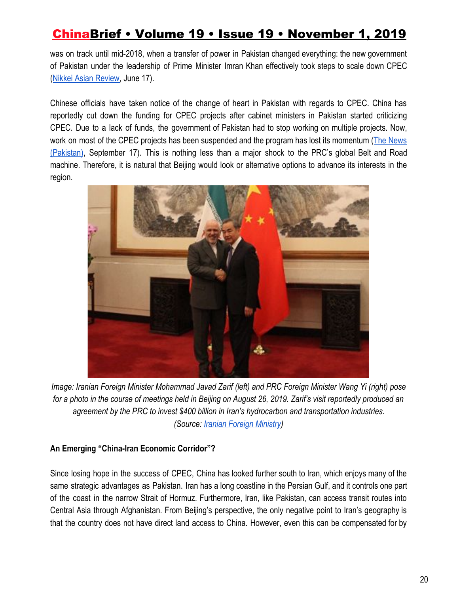was on track until mid-2018, when a transfer of power in Pakistan changed everything: the new government of Pakistan under the leadership of Prime Minister Imran Khan effectively took steps to scale down CPEC [\(Nikkei Asian Review,](https://asia.nikkei.com/Spotlight/Belt-and-Road/Pakistan-slashes-annual-funding-for-Belt-and-Road-projects) June 17).

Chinese officials have taken notice of the change of heart in Pakistan with regards to CPEC. China has reportedly cut down the funding for CPEC projects after cabinet ministers in Pakistan started criticizing CPEC. Due to a lack of funds, the government of Pakistan had to stop working on multiple projects. Now, work on most of the CPEC projects has been suspended and the program has lost its momentum (The [News](https://www.thenews.com.pk/print/528615-cpec-shelved) [\(Pakistan\)](https://www.thenews.com.pk/print/528615-cpec-shelved), September 17). This is nothing less than a major shock to the PRC's global Belt and Road machine. Therefore, it is natural that Beijing would look or alternative options to advance its interests in the region.



*Image: Iranian Foreign Minister Mohammad Javad Zarif (left) and PRC Foreign Minister Wang Yi (right) pose for a photo in the course of meetings held in Beijing on August 26, 2019. Zarif's visit reportedly produced an agreement by the PRC to invest \$400 billion in Iran's hydrocarbon and transportation industries. (Source[:](https://en.mfa.ir/portal/newsview/50370/iranian-chinese-foreign-ministers-meet-in-beijing) [Iranian Foreign Ministry\)](https://en.mfa.ir/portal/newsview/50370/iranian-chinese-foreign-ministers-meet-in-beijing)*

### **An Emerging "China-Iran Economic Corridor"?**

Since losing hope in the success of CPEC, China has looked further south to Iran, which enjoys many of the same strategic advantages as Pakistan. Iran has a long coastline in the Persian Gulf, and it controls one part of the coast in the narrow Strait of Hormuz. Furthermore, Iran, like Pakistan, can access transit routes into Central Asia through Afghanistan. From Beijing's perspective, the only negative point to Iran's geography is that the country does not have direct land access to China. However, even this can be compensated for by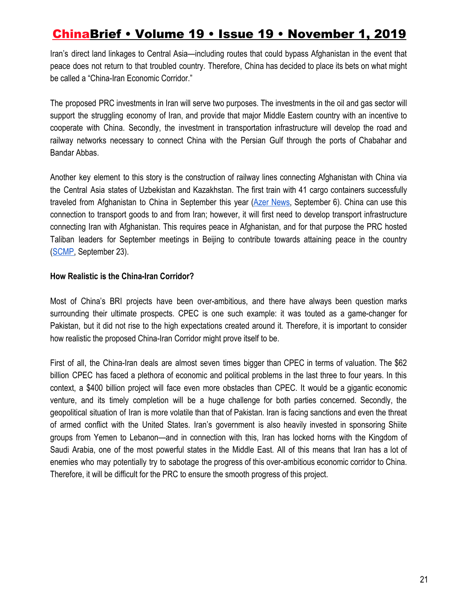Iran's direct land linkages to Central Asia—including routes that could bypass Afghanistan in the event that peace does not return to that troubled country. Therefore, China has decided to place its bets on what might be called a "China-Iran Economic Corridor."

The proposed PRC investments in Iran will serve two purposes. The investments in the oil and gas sector will support the struggling economy of Iran, and provide that major Middle Eastern country with an incentive to cooperate with China. Secondly, the investment in transportation infrastructure will develop the road and railway networks necessary to connect China with the Persian Gulf through the ports of Chabahar and Bandar Abbas.

Another key element to this story is the construction of railway lines connecting Afghanistan with China via the Central Asia states of Uzbekistan and Kazakhstan. The first train with 41 cargo containers successfully traveled from Afghanistan to China in September this year (Azer [News,](https://www.azernews.az/region/155591.html) September 6). China can use this connection to transport goods to and from Iran; however, it will first need to develop transport infrastructure connecting Iran with Afghanistan. This requires peace in Afghanistan, and for that purpose the PRC hosted Taliban leaders for September meetings in Beijing to contribute towards attaining peace in the country [\(SCMP,](https://www.scmp.com/news/china/diplomacy/article/3030026/china-urges-us-continue-engage-taliban-after-talks-beijing) September 23).

### **How Realistic is the China-Iran Corridor?**

Most of China's BRI projects have been over-ambitious, and there have always been question marks surrounding their ultimate prospects. CPEC is one such example: it was touted as a game-changer for Pakistan, but it did not rise to the high expectations created around it. Therefore, it is important to consider how realistic the proposed China-Iran Corridor might prove itself to be.

First of all, the China-Iran deals are almost seven times bigger than CPEC in terms of valuation. The \$62 billion CPEC has faced a plethora of economic and political problems in the last three to four years. In this context, a \$400 billion project will face even more obstacles than CPEC. It would be a gigantic economic venture, and its timely completion will be a huge challenge for both parties concerned. Secondly, the geopolitical situation of Iran is more volatile than that of Pakistan. Iran is facing sanctions and even the threat of armed conflict with the United States. Iran's government is also heavily invested in sponsoring Shiite groups from Yemen to Lebanon—and in connection with this, Iran has locked horns with the Kingdom of Saudi Arabia, one of the most powerful states in the Middle East. All of this means that Iran has a lot of enemies who may potentially try to sabotage the progress of this over-ambitious economic corridor to China. Therefore, it will be difficult for the PRC to ensure the smooth progress of this project.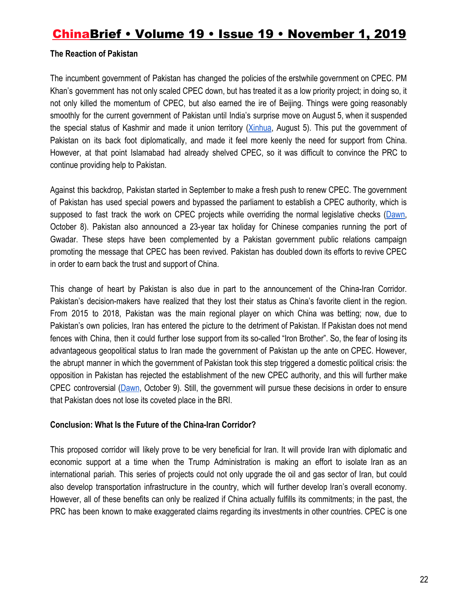### **The Reaction of Pakistan**

The incumbent government of Pakistan has changed the policies of the erstwhile government on CPEC. PM Khan's government has not only scaled CPEC down, but has treated it as a low priority project; in doing so, it not only killed the momentum of CPEC, but also earned the ire of Beijing. Things were going reasonably smoothly for the current government of Pakistan until India's surprise move on August 5, when it suspended the special status of Kashmir and made it union territory ([Xinhua](http://www.xinhuanet.com/english/2019-08/05/c_138285589.htm), August 5). This put the government of Pakistan on its back foot diplomatically, and made it feel more keenly the need for support from China. However, at that point Islamabad had already shelved CPEC, so it was difficult to convince the PRC to continue providing help to Pakistan.

Against this backdrop, Pakistan started in September to make a fresh push to renew CPEC. The government of Pakistan has used special powers and bypassed the parliament to establish a CPEC authority, which is supposed to fast track the work on CPEC projects while overriding the normal legislative checks [\(Dawn,](https://www.dawn.com/news/1509705) October 8). Pakistan also announced a 23-year tax holiday for Chinese companies running the port of Gwadar. These steps have been complemented by a Pakistan government public relations campaign promoting the message that CPEC has been revived. Pakistan has doubled down its efforts to revive CPEC in order to earn back the trust and support of China.

This change of heart by Pakistan is also due in part to the announcement of the China-Iran Corridor. Pakistan's decision-makers have realized that they lost their status as China's favorite client in the region. From 2015 to 2018, Pakistan was the main regional player on which China was betting; now, due to Pakistan's own policies, Iran has entered the picture to the detriment of Pakistan. If Pakistan does not mend fences with China, then it could further lose support from its so-called "Iron Brother". So, the fear of losing its advantageous geopolitical status to Iran made the government of Pakistan up the ante on CPEC. However, the abrupt manner in which the government of Pakistan took this step triggered a domestic political crisis: the opposition in Pakistan has rejected the establishment of the new CPEC authority, and this will further make CPEC controversial [\(Dawn](https://www.dawn.com/news/1509863), October 9). Still, the government will pursue these decisions in order to ensure that Pakistan does not lose its coveted place in the BRI.

### **Conclusion: What Is the Future of the China-Iran Corridor?**

This proposed corridor will likely prove to be very beneficial for Iran. It will provide Iran with diplomatic and economic support at a time when the Trump Administration is making an effort to isolate Iran as an international pariah. This series of projects could not only upgrade the oil and gas sector of Iran, but could also develop transportation infrastructure in the country, which will further develop Iran's overall economy. However, all of these benefits can only be realized if China actually fulfills its commitments; in the past, the PRC has been known to make exaggerated claims regarding its investments in other countries. CPEC is one